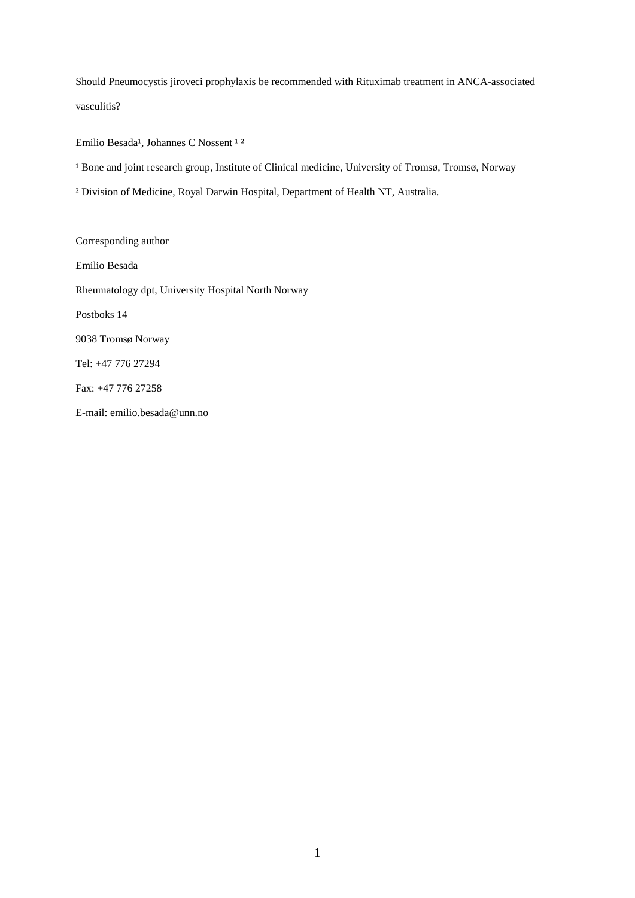Should Pneumocystis jiroveci prophylaxis be recommended with Rituximab treatment in ANCA-associated vasculitis?

Emilio Besada<sup>1</sup>, Johannes C Nossent<sup>12</sup>

<sup>1</sup> Bone and joint research group, Institute of Clinical medicine, University of Tromsø, Tromsø, Norway

² Division of Medicine, Royal Darwin Hospital, Department of Health NT, Australia.

Corresponding author Emilio Besada Rheumatology dpt, University Hospital North Norway Postboks 14 9038 Tromsø Norway Tel: +47 776 27294 Fax: +47 776 27258

E-mail: emilio.besada@unn.no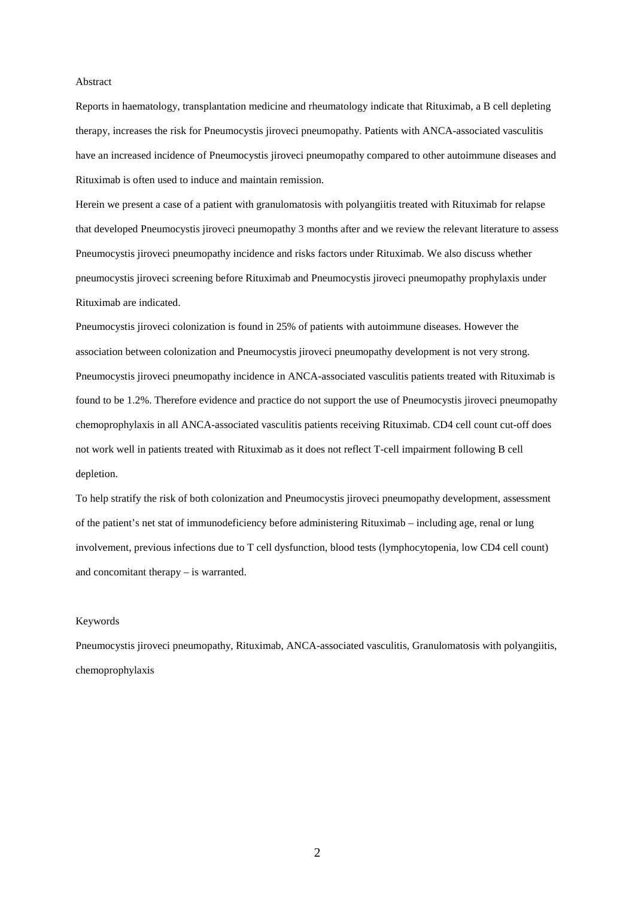## Abstract

Reports in haematology, transplantation medicine and rheumatology indicate that Rituximab, a B cell depleting therapy, increases the risk for Pneumocystis jiroveci pneumopathy. Patients with ANCA-associated vasculitis have an increased incidence of Pneumocystis jiroveci pneumopathy compared to other autoimmune diseases and Rituximab is often used to induce and maintain remission.

Herein we present a case of a patient with granulomatosis with polyangiitis treated with Rituximab for relapse that developed Pneumocystis jiroveci pneumopathy 3 months after and we review the relevant literature to assess Pneumocystis jiroveci pneumopathy incidence and risks factors under Rituximab. We also discuss whether pneumocystis jiroveci screening before Rituximab and Pneumocystis jiroveci pneumopathy prophylaxis under Rituximab are indicated.

Pneumocystis jiroveci colonization is found in 25% of patients with autoimmune diseases. However the association between colonization and Pneumocystis jiroveci pneumopathy development is not very strong. Pneumocystis jiroveci pneumopathy incidence in ANCA-associated vasculitis patients treated with Rituximab is found to be 1.2%. Therefore evidence and practice do not support the use of Pneumocystis jiroveci pneumopathy chemoprophylaxis in all ANCA-associated vasculitis patients receiving Rituximab. CD4 cell count cut-off does not work well in patients treated with Rituximab as it does not reflect T-cell impairment following B cell depletion.

To help stratify the risk of both colonization and Pneumocystis jiroveci pneumopathy development, assessment of the patient's net stat of immunodeficiency before administering Rituximab – including age, renal or lung involvement, previous infections due to T cell dysfunction, blood tests (lymphocytopenia, low CD4 cell count) and concomitant therapy – is warranted.

#### Keywords

Pneumocystis jiroveci pneumopathy, Rituximab, ANCA-associated vasculitis, Granulomatosis with polyangiitis, chemoprophylaxis

2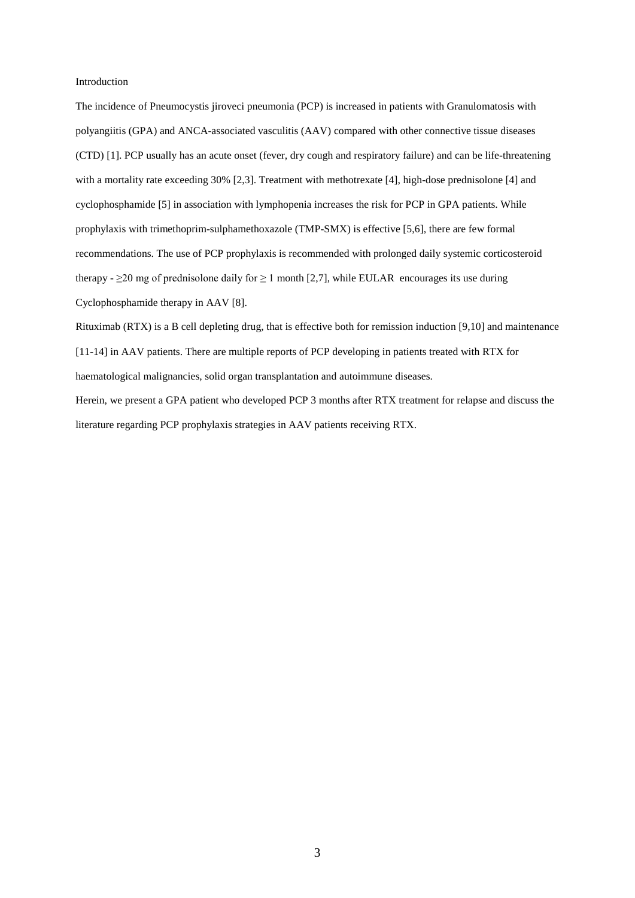### Introduction

The incidence of Pneumocystis jiroveci pneumonia (PCP) is increased in patients with Granulomatosis with polyangiitis (GPA) and ANCA-associated vasculitis (AAV) compared with other connective tissue diseases (CTD) [1]. PCP usually has an acute onset (fever, dry cough and respiratory failure) and can be life-threatening with a mortality rate exceeding 30% [2,3]. Treatment with methotrexate [4], high-dose prednisolone [4] and cyclophosphamide [5] in association with lymphopenia increases the risk for PCP in GPA patients. While prophylaxis with trimethoprim-sulphamethoxazole (TMP-SMX) is effective [5,6], there are few formal recommendations. The use of PCP prophylaxis is recommended with prolonged daily systemic corticosteroid therapy -  $\geq$  20 mg of prednisolone daily for  $\geq$  1 month [2,7], while EULAR encourages its use during Cyclophosphamide therapy in AAV [8].

Rituximab (RTX) is a B cell depleting drug, that is effective both for remission induction [9,10] and maintenance [11-14] in AAV patients. There are multiple reports of PCP developing in patients treated with RTX for haematological malignancies, solid organ transplantation and autoimmune diseases. Herein, we present a GPA patient who developed PCP 3 months after RTX treatment for relapse and discuss the

literature regarding PCP prophylaxis strategies in AAV patients receiving RTX.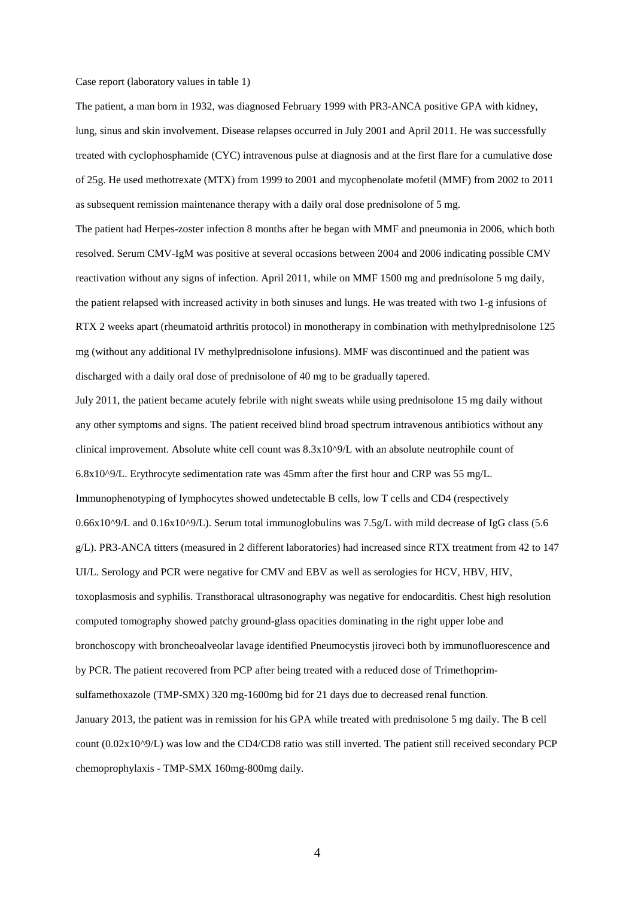#### Case report (laboratory values in table 1)

The patient, a man born in 1932, was diagnosed February 1999 with PR3-ANCA positive GPA with kidney, lung, sinus and skin involvement. Disease relapses occurred in July 2001 and April 2011. He was successfully treated with cyclophosphamide (CYC) intravenous pulse at diagnosis and at the first flare for a cumulative dose of 25g. He used methotrexate (MTX) from 1999 to 2001 and mycophenolate mofetil (MMF) from 2002 to 2011 as subsequent remission maintenance therapy with a daily oral dose prednisolone of 5 mg.

The patient had Herpes-zoster infection 8 months after he began with MMF and pneumonia in 2006, which both resolved. Serum CMV-IgM was positive at several occasions between 2004 and 2006 indicating possible CMV reactivation without any signs of infection. April 2011, while on MMF 1500 mg and prednisolone 5 mg daily, the patient relapsed with increased activity in both sinuses and lungs. He was treated with two 1-g infusions of RTX 2 weeks apart (rheumatoid arthritis protocol) in monotherapy in combination with methylprednisolone 125 mg (without any additional IV methylprednisolone infusions). MMF was discontinued and the patient was discharged with a daily oral dose of prednisolone of 40 mg to be gradually tapered.

July 2011, the patient became acutely febrile with night sweats while using prednisolone 15 mg daily without any other symptoms and signs. The patient received blind broad spectrum intravenous antibiotics without any clinical improvement. Absolute white cell count was 8.3x10^9/L with an absolute neutrophile count of 6.8x10^9/L. Erythrocyte sedimentation rate was 45mm after the first hour and CRP was 55 mg/L. Immunophenotyping of lymphocytes showed undetectable B cells, low T cells and CD4 (respectively  $0.66x10^9/$ L and  $0.16x10^9/$ L). Serum total immunoglobulins was 7.5g/L with mild decrease of IgG class (5.6 g/L). PR3-ANCA titters (measured in 2 different laboratories) had increased since RTX treatment from 42 to 147 UI/L. Serology and PCR were negative for CMV and EBV as well as serologies for HCV, HBV, HIV, toxoplasmosis and syphilis. Transthoracal ultrasonography was negative for endocarditis. Chest high resolution computed tomography showed patchy ground-glass opacities dominating in the right upper lobe and bronchoscopy with broncheoalveolar lavage identified Pneumocystis jiroveci both by immunofluorescence and by PCR. The patient recovered from PCP after being treated with a reduced dose of Trimethoprimsulfamethoxazole (TMP-SMX) 320 mg-1600mg bid for 21 days due to decreased renal function. January 2013, the patient was in remission for his GPA while treated with prednisolone 5 mg daily. The B cell count (0.02x10^9/L) was low and the CD4/CD8 ratio was still inverted. The patient still received secondary PCP chemoprophylaxis - TMP-SMX 160mg-800mg daily.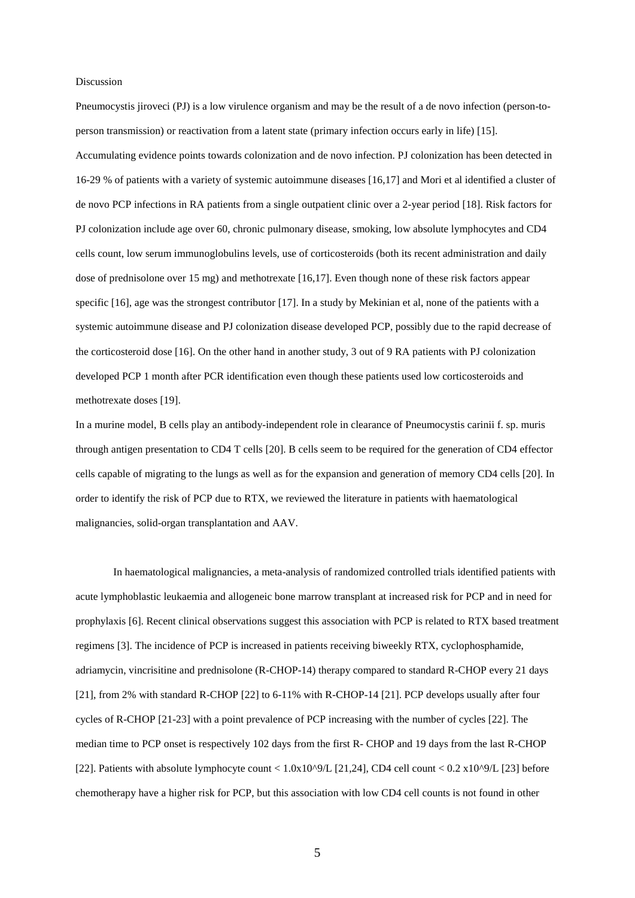### Discussion

Pneumocystis jiroveci (PJ) is a low virulence organism and may be the result of a de novo infection (person-toperson transmission) or reactivation from a latent state (primary infection occurs early in life) [15]. Accumulating evidence points towards colonization and de novo infection. PJ colonization has been detected in 16-29 % of patients with a variety of systemic autoimmune diseases [16,17] and Mori et al identified a cluster of de novo PCP infections in RA patients from a single outpatient clinic over a 2-year period [18]. Risk factors for PJ colonization include age over 60, chronic pulmonary disease, smoking, low absolute lymphocytes and CD4 cells count, low serum immunoglobulins levels, use of corticosteroids (both its recent administration and daily dose of prednisolone over 15 mg) and methotrexate [16,17]. Even though none of these risk factors appear specific [16], age was the strongest contributor [17]. In a study by Mekinian et al, none of the patients with a systemic autoimmune disease and PJ colonization disease developed PCP, possibly due to the rapid decrease of the corticosteroid dose [16]. On the other hand in another study, 3 out of 9 RA patients with PJ colonization developed PCP 1 month after PCR identification even though these patients used low corticosteroids and methotrexate doses [19].

In a murine model, B cells play an antibody-independent role in clearance of Pneumocystis carinii f. sp. muris through antigen presentation to CD4 T cells [20]. B cells seem to be required for the generation of CD4 effector cells capable of migrating to the lungs as well as for the expansion and generation of memory CD4 cells [20]. In order to identify the risk of PCP due to RTX, we reviewed the literature in patients with haematological malignancies, solid-organ transplantation and AAV.

In haematological malignancies, a meta-analysis of randomized controlled trials identified patients with acute lymphoblastic leukaemia and allogeneic bone marrow transplant at increased risk for PCP and in need for prophylaxis [6]. Recent clinical observations suggest this association with PCP is related to RTX based treatment regimens [3]. The incidence of PCP is increased in patients receiving biweekly RTX, cyclophosphamide, adriamycin, vincrisitine and prednisolone (R-CHOP-14) therapy compared to standard R-CHOP every 21 days [21], from 2% with standard R-CHOP [22] to 6-11% with R-CHOP-14 [21]. PCP develops usually after four cycles of R-CHOP [21-23] with a point prevalence of PCP increasing with the number of cycles [22]. The median time to PCP onset is respectively 102 days from the first R- CHOP and 19 days from the last R-CHOP [22]. Patients with absolute lymphocyte count <  $1.0x10^9/L$  [21,24], CD4 cell count <  $0.2 x10^9/L$  [23] before chemotherapy have a higher risk for PCP, but this association with low CD4 cell counts is not found in other

5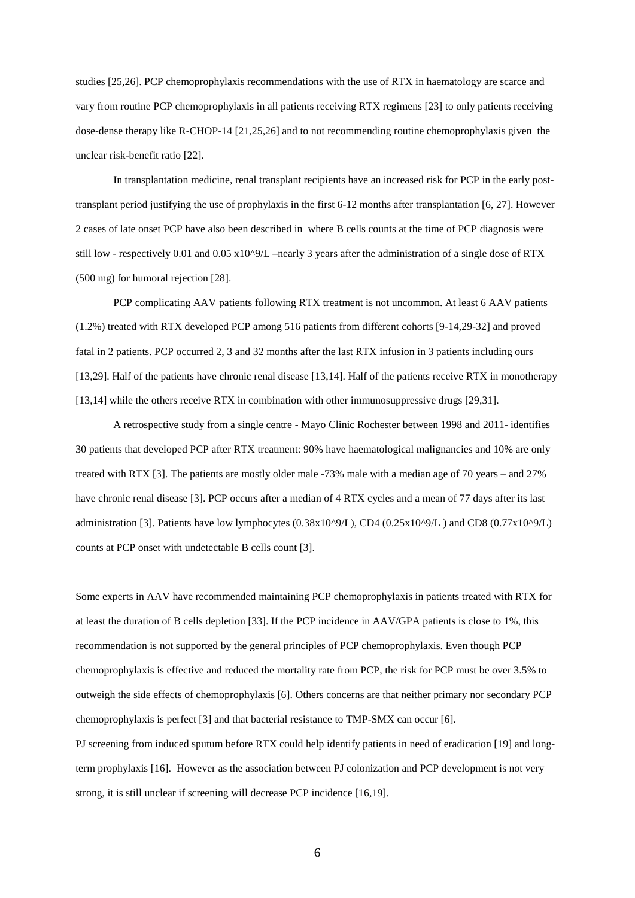studies [25,26]. PCP chemoprophylaxis recommendations with the use of RTX in haematology are scarce and vary from routine PCP chemoprophylaxis in all patients receiving RTX regimens [23] to only patients receiving dose-dense therapy like R-CHOP-14 [21,25,26] and to not recommending routine chemoprophylaxis given the unclear risk-benefit ratio [22].

In transplantation medicine, renal transplant recipients have an increased risk for PCP in the early posttransplant period justifying the use of prophylaxis in the first 6-12 months after transplantation [6, 27]. However 2 cases of late onset PCP have also been described in where B cells counts at the time of PCP diagnosis were still low - respectively 0.01 and 0.05 x10^9/L –nearly 3 years after the administration of a single dose of RTX (500 mg) for humoral rejection [28].

PCP complicating AAV patients following RTX treatment is not uncommon. At least 6 AAV patients (1.2%) treated with RTX developed PCP among 516 patients from different cohorts [9-14,29-32] and proved fatal in 2 patients. PCP occurred 2, 3 and 32 months after the last RTX infusion in 3 patients including ours [13,29]. Half of the patients have chronic renal disease [13,14]. Half of the patients receive RTX in monotherapy [13,14] while the others receive RTX in combination with other immunosuppressive drugs [29,31].

A retrospective study from a single centre - Mayo Clinic Rochester between 1998 and 2011- identifies 30 patients that developed PCP after RTX treatment: 90% have haematological malignancies and 10% are only treated with RTX [3]. The patients are mostly older male -73% male with a median age of 70 years – and 27% have chronic renal disease [3]. PCP occurs after a median of 4 RTX cycles and a mean of 77 days after its last administration [3]. Patients have low lymphocytes  $(0.38x10^9/L)$ , CD4  $(0.25x10^9/L)$  and CD8  $(0.77x10^9/L)$ counts at PCP onset with undetectable B cells count [3].

Some experts in AAV have recommended maintaining PCP chemoprophylaxis in patients treated with RTX for at least the duration of B cells depletion [33]. If the PCP incidence in AAV/GPA patients is close to 1%, this recommendation is not supported by the general principles of PCP chemoprophylaxis. Even though PCP chemoprophylaxis is effective and reduced the mortality rate from PCP, the risk for PCP must be over 3.5% to outweigh the side effects of chemoprophylaxis [6]. Others concerns are that neither primary nor secondary PCP chemoprophylaxis is perfect [3] and that bacterial resistance to TMP-SMX can occur [6].

PJ screening from induced sputum before RTX could help identify patients in need of eradication [19] and longterm prophylaxis [16]. However as the association between PJ colonization and PCP development is not very strong, it is still unclear if screening will decrease PCP incidence [16,19].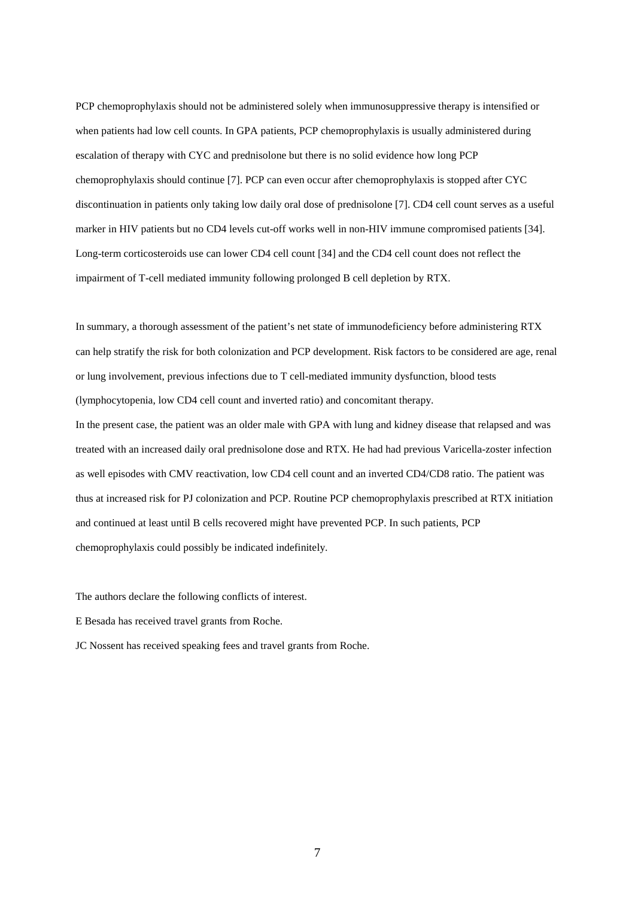PCP chemoprophylaxis should not be administered solely when immunosuppressive therapy is intensified or when patients had low cell counts. In GPA patients, PCP chemoprophylaxis is usually administered during escalation of therapy with CYC and prednisolone but there is no solid evidence how long PCP chemoprophylaxis should continue [7]. PCP can even occur after chemoprophylaxis is stopped after CYC discontinuation in patients only taking low daily oral dose of prednisolone [7]. CD4 cell count serves as a useful marker in HIV patients but no CD4 levels cut-off works well in non-HIV immune compromised patients [34]. Long-term corticosteroids use can lower CD4 cell count [34] and the CD4 cell count does not reflect the impairment of T-cell mediated immunity following prolonged B cell depletion by RTX.

In summary, a thorough assessment of the patient's net state of immunodeficiency before administering RTX can help stratify the risk for both colonization and PCP development. Risk factors to be considered are age, renal or lung involvement, previous infections due to T cell-mediated immunity dysfunction, blood tests (lymphocytopenia, low CD4 cell count and inverted ratio) and concomitant therapy.

In the present case, the patient was an older male with GPA with lung and kidney disease that relapsed and was treated with an increased daily oral prednisolone dose and RTX. He had had previous Varicella-zoster infection as well episodes with CMV reactivation, low CD4 cell count and an inverted CD4/CD8 ratio. The patient was thus at increased risk for PJ colonization and PCP. Routine PCP chemoprophylaxis prescribed at RTX initiation and continued at least until B cells recovered might have prevented PCP. In such patients, PCP chemoprophylaxis could possibly be indicated indefinitely.

The authors declare the following conflicts of interest.

E Besada has received travel grants from Roche.

JC Nossent has received speaking fees and travel grants from Roche.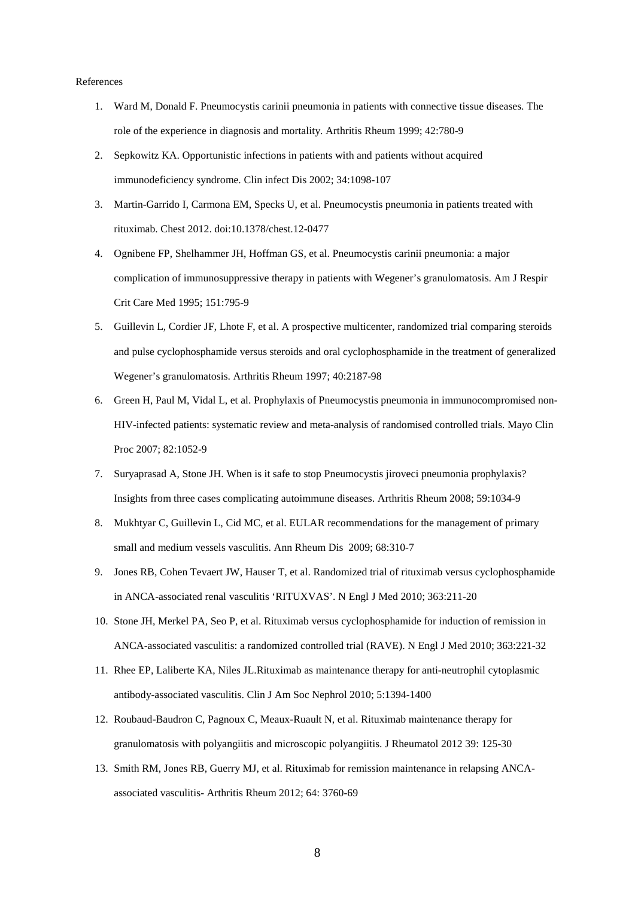## References

- 1. Ward M, Donald F. Pneumocystis carinii pneumonia in patients with connective tissue diseases. The role of the experience in diagnosis and mortality. Arthritis Rheum 1999; 42:780-9
- 2. Sepkowitz KA. Opportunistic infections in patients with and patients without acquired immunodeficiency syndrome. Clin infect Dis 2002; 34:1098-107
- 3. Martin-Garrido I, Carmona EM, Specks U, et al. Pneumocystis pneumonia in patients treated with rituximab. Chest 2012. doi:10.1378/chest.12-0477
- 4. Ognibene FP, Shelhammer JH, Hoffman GS, et al. Pneumocystis carinii pneumonia: a major complication of immunosuppressive therapy in patients with Wegener's granulomatosis. Am J Respir Crit Care Med 1995; 151:795-9
- 5. Guillevin L, Cordier JF, Lhote F, et al. A prospective multicenter, randomized trial comparing steroids and pulse cyclophosphamide versus steroids and oral cyclophosphamide in the treatment of generalized Wegener's granulomatosis. Arthritis Rheum 1997; 40:2187-98
- 6. Green H, Paul M, Vidal L, et al. Prophylaxis of Pneumocystis pneumonia in immunocompromised non-HIV-infected patients: systematic review and meta-analysis of randomised controlled trials. Mayo Clin Proc 2007; 82:1052-9
- 7. Suryaprasad A, Stone JH. When is it safe to stop Pneumocystis jiroveci pneumonia prophylaxis? Insights from three cases complicating autoimmune diseases. Arthritis Rheum 2008; 59:1034-9
- 8. Mukhtyar C, Guillevin L, Cid MC, et al. EULAR recommendations for the management of primary small and medium vessels vasculitis. Ann Rheum Dis 2009; 68:310-7
- 9. Jones RB, Cohen Tevaert JW, Hauser T, et al. Randomized trial of rituximab versus cyclophosphamide in ANCA-associated renal vasculitis 'RITUXVAS'. N Engl J Med 2010; 363:211-20
- 10. Stone JH, Merkel PA, Seo P, et al. Rituximab versus cyclophosphamide for induction of remission in ANCA-associated vasculitis: a randomized controlled trial (RAVE). N Engl J Med 2010; 363:221-32
- 11. Rhee EP, Laliberte KA, Niles JL.Rituximab as maintenance therapy for anti-neutrophil cytoplasmic antibody-associated vasculitis. Clin J Am Soc Nephrol 2010; 5:1394-1400
- 12. Roubaud-Baudron C, Pagnoux C, Meaux-Ruault N, et al. Rituximab maintenance therapy for granulomatosis with polyangiitis and microscopic polyangiitis. J Rheumatol 2012 39: 125-30
- 13. Smith RM, Jones RB, Guerry MJ, et al. Rituximab for remission maintenance in relapsing ANCAassociated vasculitis- Arthritis Rheum 2012; 64: 3760-69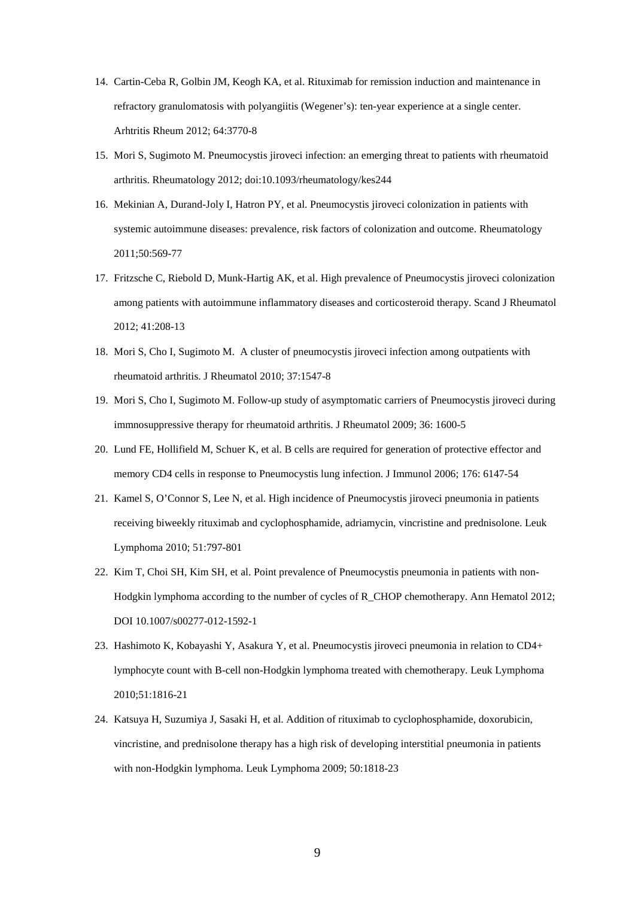- 14. Cartin-Ceba R, Golbin JM, Keogh KA, et al. Rituximab for remission induction and maintenance in refractory granulomatosis with polyangiitis (Wegener's): ten-year experience at a single center. Arhtritis Rheum 2012; 64:3770-8
- 15. Mori S, Sugimoto M. Pneumocystis jiroveci infection: an emerging threat to patients with rheumatoid arthritis. Rheumatology 2012; doi:10.1093/rheumatology/kes244
- 16. Mekinian A, Durand-Joly I, Hatron PY, et al. Pneumocystis jiroveci colonization in patients with systemic autoimmune diseases: prevalence, risk factors of colonization and outcome. Rheumatology 2011;50:569-77
- 17. Fritzsche C, Riebold D, Munk-Hartig AK, et al. High prevalence of Pneumocystis jiroveci colonization among patients with autoimmune inflammatory diseases and corticosteroid therapy. Scand J Rheumatol 2012; 41:208-13
- 18. Mori S, Cho I, Sugimoto M. A cluster of pneumocystis jiroveci infection among outpatients with rheumatoid arthritis. J Rheumatol 2010; 37:1547-8
- 19. Mori S, Cho I, Sugimoto M. Follow-up study of asymptomatic carriers of Pneumocystis jiroveci during immnosuppressive therapy for rheumatoid arthritis. J Rheumatol 2009; 36: 1600-5
- 20. Lund FE, Hollifield M, Schuer K, et al. B cells are required for generation of protective effector and memory CD4 cells in response to Pneumocystis lung infection. J Immunol 2006; 176: 6147-54
- 21. Kamel S, O'Connor S, Lee N, et al. High incidence of Pneumocystis jiroveci pneumonia in patients receiving biweekly rituximab and cyclophosphamide, adriamycin, vincristine and prednisolone. Leuk Lymphoma 2010; 51:797-801
- 22. Kim T, Choi SH, Kim SH, et al. Point prevalence of Pneumocystis pneumonia in patients with non-Hodgkin lymphoma according to the number of cycles of R\_CHOP chemotherapy. Ann Hematol 2012; DOI 10.1007/s00277-012-1592-1
- 23. Hashimoto K, Kobayashi Y, Asakura Y, et al. Pneumocystis jiroveci pneumonia in relation to CD4+ lymphocyte count with B-cell non-Hodgkin lymphoma treated with chemotherapy. Leuk Lymphoma 2010;51:1816-21
- 24. Katsuya H, Suzumiya J, Sasaki H, et al. Addition of rituximab to cyclophosphamide, doxorubicin, vincristine, and prednisolone therapy has a high risk of developing interstitial pneumonia in patients with non-Hodgkin lymphoma. Leuk Lymphoma 2009; 50:1818-23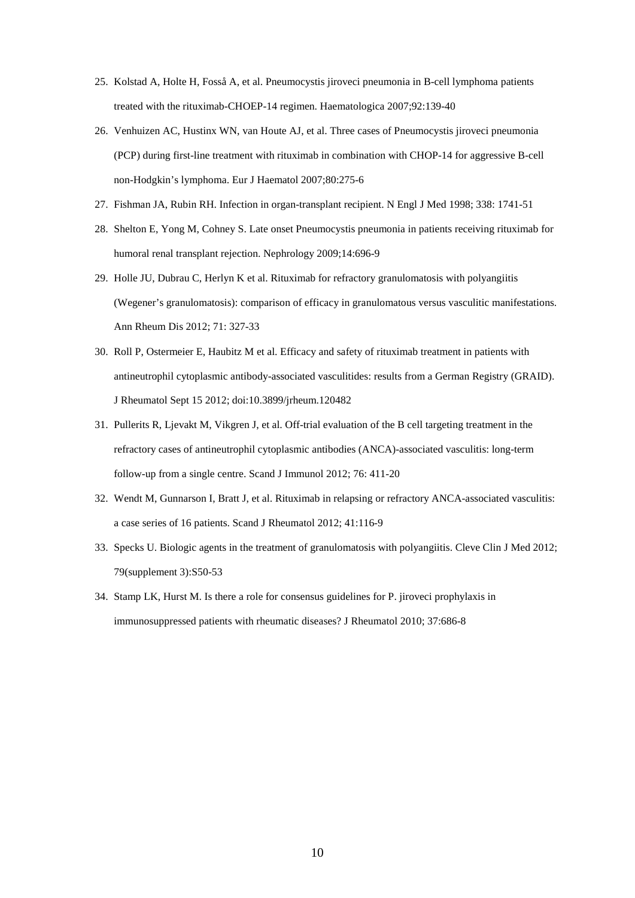- 25. Kolstad A, Holte H, Fosså A, et al. Pneumocystis jiroveci pneumonia in B-cell lymphoma patients treated with the rituximab-CHOEP-14 regimen. Haematologica 2007;92:139-40
- 26. Venhuizen AC, Hustinx WN, van Houte AJ, et al. Three cases of Pneumocystis jiroveci pneumonia (PCP) during first-line treatment with rituximab in combination with CHOP-14 for aggressive B-cell non-Hodgkin's lymphoma. Eur J Haematol 2007;80:275-6
- 27. Fishman JA, Rubin RH. Infection in organ-transplant recipient. N Engl J Med 1998; 338: 1741-51
- 28. Shelton E, Yong M, Cohney S. Late onset Pneumocystis pneumonia in patients receiving rituximab for humoral renal transplant rejection. Nephrology 2009;14:696-9
- 29. Holle JU, Dubrau C, Herlyn K et al. Rituximab for refractory granulomatosis with polyangiitis (Wegener's granulomatosis): comparison of efficacy in granulomatous versus vasculitic manifestations. Ann Rheum Dis 2012; 71: 327-33
- 30. Roll P, Ostermeier E, Haubitz M et al. Efficacy and safety of rituximab treatment in patients with antineutrophil cytoplasmic antibody-associated vasculitides: results from a German Registry (GRAID). J Rheumatol Sept 15 2012; doi:10.3899/jrheum.120482
- 31. Pullerits R, Ljevakt M, Vikgren J, et al. Off-trial evaluation of the B cell targeting treatment in the refractory cases of antineutrophil cytoplasmic antibodies (ANCA)-associated vasculitis: long-term follow-up from a single centre. Scand J Immunol 2012; 76: 411-20
- 32. Wendt M, Gunnarson I, Bratt J, et al. Rituximab in relapsing or refractory ANCA-associated vasculitis: a case series of 16 patients. Scand J Rheumatol 2012; 41:116-9
- 33. Specks U. Biologic agents in the treatment of granulomatosis with polyangiitis. Cleve Clin J Med 2012; 79(supplement 3):S50-53
- 34. Stamp LK, Hurst M. Is there a role for consensus guidelines for P. jiroveci prophylaxis in immunosuppressed patients with rheumatic diseases? J Rheumatol 2010; 37:686-8